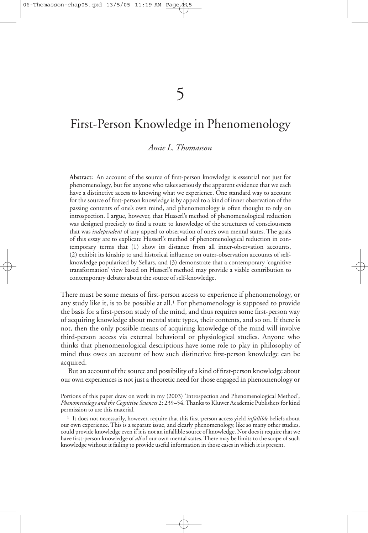# 5

# First-Person Knowledge in Phenomenology

*Amie L. Thomasson*

**Abstract:** An account of the source of first-person knowledge is essential not just for phenomenology, but for anyone who takes seriously the apparent evidence that we each have a distinctive access to knowing what we experience. One standard way to account for the source of first-person knowledge is by appeal to a kind of inner observation of the passing contents of one's own mind, and phenomenology is often thought to rely on introspection. I argue, however, that Husserl's method of phenomenological reduction was designed precisely to find a route to knowledge of the structures of consciousness that was *independent* of any appeal to observation of one's own mental states. The goals of this essay are to explicate Husserl's method of phenomenological reduction in contemporary terms that (1) show its distance from all inner-observation accounts, (2) exhibit its kinship to and historical influence on outer-observation accounts of selfknowledge popularized by Sellars, and (3) demonstrate that a contemporary 'cognitive transformation' view based on Husserl's method may provide a viable contribution to contemporary debates about the source of self-knowledge.

There must be some means of first-person access to experience if phenomenology, or any study like it, is to be possible at all.<sup>1</sup> For phenomenology is supposed to provide the basis for a first-person study of the mind, and thus requires some first-person way of acquiring knowledge about mental state types, their contents, and so on. If there is not, then the only possible means of acquiring knowledge of the mind will involve third-person access via external behavioral or physiological studies. Anyone who thinks that phenomenological descriptions have some role to play in philosophy of mind thus owes an account of how such distinctive first-person knowledge can be acquired.

But an account of the source and possibility of a kind of first-person knowledge about our own experiences is not just a theoretic need for those engaged in phenomenology or

Portions of this paper draw on work in my (2003) 'Introspection and Phenomenological Method', *Phenomenology and the Cognitive Sciences* 2: 239–54. Thanks to Kluwer Academic Publishers for kind permission to use this material.

<sup>1</sup> It does not necessarily, however, require that this first-person access yield *infallible* beliefs about our own experience. This is a separate issue, and clearly phenomenology, like so many other studies, could provide knowledge even if it is not an infallible source of knowledge. Nor does it require that we have first-person knowledge of *all* of our own mental states. There may be limits to the scope of such knowledge without it failing to provide useful information in those cases in which it is present.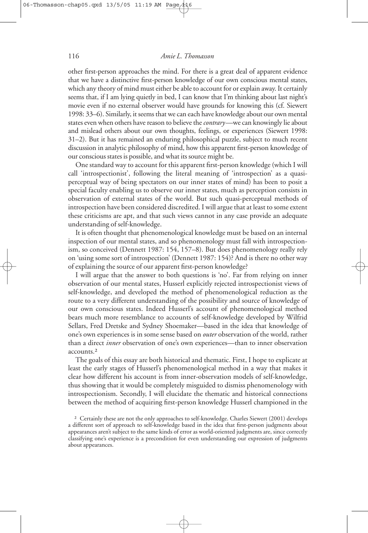other first-person approaches the mind. For there is a great deal of apparent evidence that we have a distinctive first-person knowledge of our own conscious mental states, which any theory of mind must either be able to account for or explain away. It certainly seems that, if I am lying quietly in bed, I can know that I'm thinking about last night's movie even if no external observer would have grounds for knowing this (cf. Siewert 1998: 33–6). Similarly, it seems that we can each have knowledge about our own mental states even when others have reason to believe the *contrary*—we can knowingly lie about and mislead others about our own thoughts, feelings, or experiences (Siewert 1998: 31–2). But it has remained an enduring philosophical puzzle, subject to much recent discussion in analytic philosophy of mind, how this apparent first-person knowledge of our conscious states is possible, and what its source might be.

One standard way to account for this apparent first-person knowledge (which I will call 'introspectionist', following the literal meaning of 'introspection' as a quasiperceptual way of being spectators on our inner states of mind) has been to posit a special faculty enabling us to observe our inner states, much as perception consists in observation of external states of the world. But such quasi-perceptual methods of introspection have been considered discredited. I will argue that at least to some extent these criticisms are apt, and that such views cannot in any case provide an adequate understanding of self-knowledge.

It is often thought that phenomenological knowledge must be based on an internal inspection of our mental states, and so phenomenology must fall with introspectionism, so conceived (Dennett 1987: 154, 157–8). But does phenomenology really rely on 'using some sort of introspection' (Dennett 1987: 154)? And is there no other way of explaining the source of our apparent first-person knowledge?

I will argue that the answer to both questions is 'no'. Far from relying on inner observation of our mental states, Husserl explicitly rejected introspectionist views of self-knowledge, and developed the method of phenomenological reduction as the route to a very different understanding of the possibility and source of knowledge of our own conscious states. Indeed Husserl's account of phenomenological method bears much more resemblance to accounts of self-knowledge developed by Wilfrid Sellars, Fred Dretske and Sydney Shoemaker—based in the idea that knowledge of one's own experiences is in some sense based on *outer* observation of the world, rather than a direct *inner* observation of one's own experiences—than to inner observation accounts.<sup>2</sup>

The goals of this essay are both historical and thematic. First, I hope to explicate at least the early stages of Husserl's phenomenological method in a way that makes it clear how different his account is from inner-observation models of self-knowledge, thus showing that it would be completely misguided to dismiss phenomenology with introspectionism. Secondly, I will elucidate the thematic and historical connections between the method of acquiring first-person knowledge Husserl championed in the

<sup>2</sup> Certainly these are not the only approaches to self-knowledge. Charles Siewert (2001) develops a different sort of approach to self-knowledge based in the idea that first-person judgments about appearances aren't subject to the same kinds of error as world-oriented judgments are, since correctly classifying one's experience is a precondition for even understanding our expression of judgments about appearances.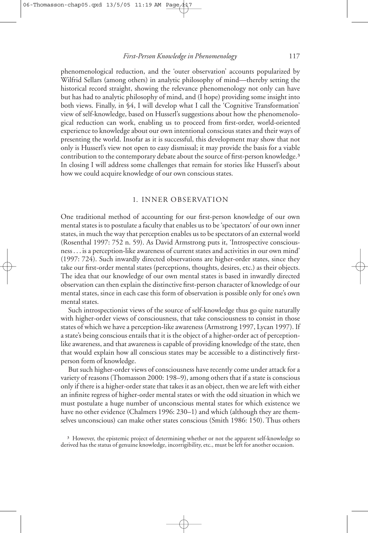06-Thomasson-chap05.qxd 13/5/05 11:19 AM

phenomenological reduction, and the 'outer observation' accounts popularized by Wilfrid Sellars (among others) in analytic philosophy of mind—thereby setting the historical record straight, showing the relevance phenomenology not only can have but has had to analytic philosophy of mind, and (I hope) providing some insight into both views. Finally, in §4, I will develop what I call the 'Cognitive Transformation' view of self-knowledge, based on Husserl's suggestions about how the phenomenological reduction can work, enabling us to proceed from first-order, world-oriented experience to knowledge about our own intentional conscious states and their ways of presenting the world. Insofar as it is successful, this development may show that not only is Husserl's view not open to easy dismissal; it may provide the basis for a viable contribution to the contemporary debate about the source of first-person knowledge.<sup>3</sup> In closing I will address some challenges that remain for stories like Husserl's about how we could acquire knowledge of our own conscious states.

# 1. INNER OBSERVATION

One traditional method of accounting for our first-person knowledge of our own mental states is to postulate a faculty that enables us to be 'spectators' of our own inner states, in much the way that perception enables us to be spectators of an external world (Rosenthal 1997: 752 n. 59). As David Armstrong puts it, 'Introspective consciousness . . . is a perception-like awareness of current states and activities in our own mind' (1997: 724). Such inwardly directed observations are higher-order states, since they take our first-order mental states (perceptions, thoughts, desires, etc.) as their objects. The idea that our knowledge of our own mental states is based in inwardly directed observation can then explain the distinctive first-person character of knowledge of our mental states, since in each case this form of observation is possible only for one's own mental states.

Such introspectionist views of the source of self-knowledge thus go quite naturally with higher-order views of consciousness, that take consciousness to consist in those states of which we have a perception-like awareness (Armstrong 1997, Lycan 1997). If a state's being conscious entails that it is the object of a higher-order act of perceptionlike awareness, and that awareness is capable of providing knowledge of the state, then that would explain how all conscious states may be accessible to a distinctively firstperson form of knowledge.

But such higher-order views of consciousness have recently come under attack for a variety of reasons (Thomasson 2000: 198–9), among others that if a state is conscious only if there is a higher-order state that takes it as an object, then we are left with either an infinite regress of higher-order mental states or with the odd situation in which we must postulate a huge number of unconscious mental states for which existence we have no other evidence (Chalmers 1996: 230–1) and which (although they are themselves unconscious) can make other states conscious (Smith 1986: 150). Thus others

<sup>3</sup> However, the epistemic project of determining whether or not the apparent self-knowledge so derived has the status of genuine knowledge, incorrigibility, etc., must be left for another occasion.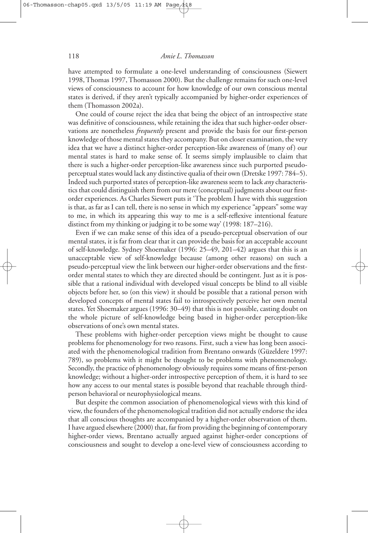have attempted to formulate a one-level understanding of consciousness (Siewert 1998, Thomas 1997, Thomasson 2000). But the challenge remains for such one-level views of consciousness to account for how knowledge of our own conscious mental states is derived, if they aren't typically accompanied by higher-order experiences of them (Thomasson 2002a).

One could of course reject the idea that being the object of an introspective state was definitive of consciousness, while retaining the idea that such higher-order observations are nonetheless *frequently* present and provide the basis for our first-person knowledge of those mental states they accompany. But on closer examination, the very idea that we have a distinct higher-order perception-like awareness of (many of) our mental states is hard to make sense of. It seems simply implausible to claim that there is such a higher-order perception-like awareness since such purported pseudoperceptual states would lack any distinctive qualia of their own (Dretske 1997: 784–5). Indeed such purported states of perception-like awareness seem to lack *any* characteristics that could distinguish them from our mere (conceptual) judgments about our firstorder experiences. As Charles Siewert puts it 'The problem I have with this suggestion is that, as far as I can tell, there is no sense in which my experience "appears" some way to me, in which its appearing this way to me is a self-reflexive intentional feature distinct from my thinking or judging it to be some way' (1998: 187–216).

Even if we can make sense of this idea of a pseudo-perceptual observation of our mental states, it is far from clear that it can provide the basis for an acceptable account of self-knowledge. Sydney Shoemaker (1996: 25–49, 201–42) argues that this is an unacceptable view of self-knowledge because (among other reasons) on such a pseudo-perceptual view the link between our higher-order observations and the firstorder mental states to which they are directed should be contingent. Just as it is possible that a rational individual with developed visual concepts be blind to all visible objects before her, so (on this view) it should be possible that a rational person with developed concepts of mental states fail to introspectively perceive her own mental states. Yet Shoemaker argues (1996: 30–49) that this is not possible, casting doubt on the whole picture of self-knowledge being based in higher-order perception-like observations of one's own mental states.

These problems with higher-order perception views might be thought to cause problems for phenomenology for two reasons. First, such a view has long been associated with the phenomenological tradition from Brentano onwards (Güzeldere 1997: 789), so problems with it might be thought to be problems with phenomenology. Secondly, the practice of phenomenology obviously requires some means of first-person knowledge; without a higher-order introspective perception of them, it is hard to see how any access to our mental states is possible beyond that reachable through thirdperson behavioral or neurophysiological means.

But despite the common association of phenomenological views with this kind of view, the founders of the phenomenological tradition did not actually endorse the idea that all conscious thoughts are accompanied by a higher-order observation of them. I have argued elsewhere (2000) that, far from providing the beginning of contemporary higher-order views, Brentano actually argued against higher-order conceptions of consciousness and sought to develop a one-level view of consciousness according to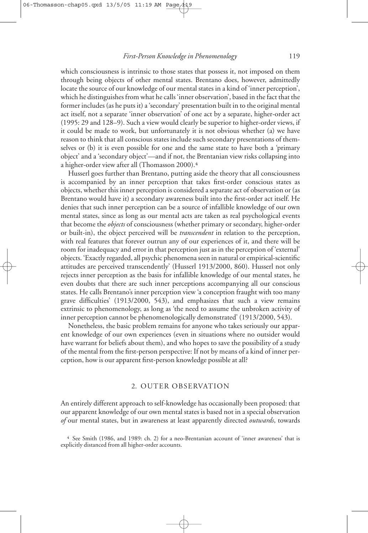which consciousness is intrinsic to those states that possess it, not imposed on them through being objects of other mental states. Brentano does, however, admittedly locate the source of our knowledge of our mental states in a kind of 'inner perception', which he distinguishes from what he calls 'inner observation', based in the fact that the former includes (as he puts it) a 'secondary' presentation built in to the original mental act itself, not a separate 'inner observation' of one act by a separate, higher-order act (1995: 29 and 128–9). Such a view would clearly be superior to higher-order views, if it could be made to work, but unfortunately it is not obvious whether (a) we have reason to think that all conscious states include such secondary presentations of themselves or (b) it is even possible for one and the same state to have both a 'primary object' and a 'secondary object'—and if not, the Brentanian view risks collapsing into a higher-order view after all (Thomasson 2000).<sup>4</sup>

Husserl goes further than Brentano, putting aside the theory that all consciousness is accompanied by an inner perception that takes first-order conscious states as objects, whether this inner perception is considered a separate act of observation or (as Brentano would have it) a secondary awareness built into the first-order act itself. He denies that such inner perception can be a source of infallible knowledge of our own mental states, since as long as our mental acts are taken as real psychological events that become the *objects* of consciousness (whether primary or secondary, higher-order or built-in), the object perceived will be *transcendent* in relation to the perception, with real features that forever outrun any of our experiences of it, and there will be room for inadequacy and error in that perception just as in the perception of 'external' objects. 'Exactly regarded, all psychic phenomena seen in natural or empirical-scientific attitudes are perceived transcendently' (Husserl 1913/2000, 860). Husserl not only rejects inner perception as the basis for infallible knowledge of our mental states, he even doubts that there are such inner perceptions accompanying all our conscious states. He calls Brentano's inner perception view 'a conception fraught with too many grave difficulties' (1913/2000, 543), and emphasizes that such a view remains extrinsic to phenomenology, as long as 'the need to assume the unbroken activity of inner perception cannot be phenomenologically demonstrated' (1913/2000, 543).

Nonetheless, the basic problem remains for anyone who takes seriously our apparent knowledge of our own experiences (even in situations where no outsider would have warrant for beliefs about them), and who hopes to save the possibility of a study of the mental from the first-person perspective: If not by means of a kind of inner perception, how is our apparent first-person knowledge possible at all?

# 2. OUTER OBSERVATION

An entirely different approach to self-knowledge has occasionally been proposed: that our apparent knowledge of our own mental states is based not in a special observation *of* our mental states, but in awareness at least apparently directed *outwards*, towards

⁴ See Smith (1986, and 1989: ch. 2) for a neo-Brentanian account of 'inner awareness' that is explicitly distanced from all higher-order accounts.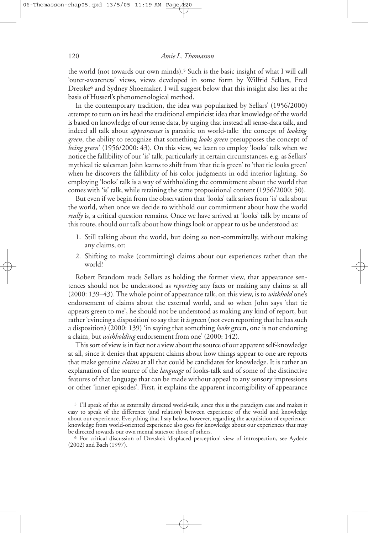the world (not towards our own minds).<sup>5</sup> Such is the basic insight of what I will call 'outer-awareness' views, views developed in some form by Wilfrid Sellars, Fred Dretske<sup>6</sup> and Sydney Shoemaker. I will suggest below that this insight also lies at the basis of Husserl's phenomenological method.

In the contemporary tradition, the idea was popularized by Sellars' (1956/2000) attempt to turn on its head the traditional empiricist idea that knowledge of the world is based on knowledge of our sense data, by urging that instead all sense-data talk, and indeed all talk about *appearances* is parasitic on world-talk: 'the concept of *looking green*, the ability to recognize that something *looks green* presupposes the concept of *being green*' (1956/2000: 43). On this view, we learn to employ 'looks' talk when we notice the fallibility of our 'is' talk, particularly in certain circumstances, e.g. as Sellars' mythical tie salesman John learns to shift from 'that tie is green' to 'that tie looks green' when he discovers the fallibility of his color judgments in odd interior lighting. So employing 'looks' talk is a way of withholding the commitment about the world that comes with 'is' talk, while retaining the same propositional content (1956/2000: 50).

But even if we begin from the observation that 'looks' talk arises from 'is' talk about the world, when once we decide to withhold our commitment about how the world *really* is, a critical question remains. Once we have arrived at 'looks' talk by means of this route, should our talk about how things look or appear to us be understood as:

- 1. Still talking about the world, but doing so non-committally, without making any claims, or:
- 2. Shifting to make (committing) claims about our experiences rather than the world?

Robert Brandom reads Sellars as holding the former view, that appearance sentences should not be understood as *reporting* any facts or making any claims at all (2000: 139–43). The whole point of appearance talk, on this view, is to *withhold* one's endorsement of claims about the external world, and so when John says 'that tie appears green to me', he should not be understood as making any kind of report, but rather 'evincing a disposition' to say that it *is* green (not even reporting that he has such a disposition) (2000: 139) 'in saying that something *looks* green, one is not endorsing a claim, but *withholding* endorsement from one' (2000: 142).

This sort of view is in fact not a view about the source of our apparent self-knowledge at all, since it denies that apparent claims about how things appear to one are reports that make genuine *claims* at all that could be candidates for knowledge. It is rather an explanation of the source of the *language* of looks-talk and of some of the distinctive features of that language that can be made without appeal to any sensory impressions or other 'inner episodes'. First, it explains the apparent incorrigibility of appearance

⁵ I'll speak of this as externally directed world-talk, since this is the paradigm case and makes it easy to speak of the difference (and relation) between experience of the world and knowledge about our experience. Everything that I say below, however, regarding the acquisition of experienceknowledge from world-oriented experience also goes for knowledge about our experiences that may be directed towards our own mental states or those of others.

⁶ For critical discussion of Dretske's 'displaced perception' view of introspection, see Aydede (2002) and Bach (1997).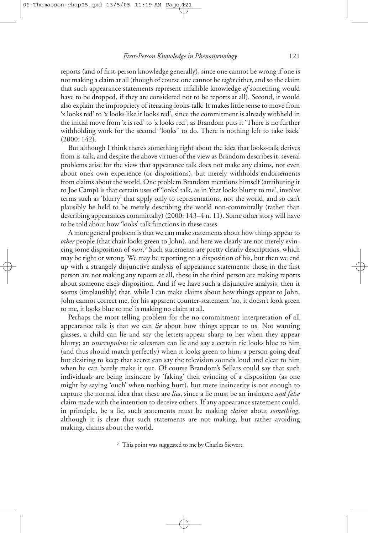06-Thomasson-chap05.qxd 13/5/05 11:19 AM

reports (and of first-person knowledge generally), since one cannot be wrong if one is not making a claim at all (though of course one cannot be *right*either, and so the claim that such appearance statements represent infallible knowledge *of* something would have to be dropped, if they are considered not to be reports at all). Second, it would also explain the impropriety of iterating looks-talk: It makes little sense to move from 'x looks red' to 'x looks like it looks red', since the commitment is already withheld in the initial move from 'x is red' to 'x looks red', as Brandom puts it 'There is no further withholding work for the second "looks" to do. There is nothing left to take back' (2000: 142).

But although I think there's something right about the idea that looks-talk derives from is-talk, and despite the above virtues of the view as Brandom describes it, several problems arise for the view that appearance talk does not make any claims, not even about one's own experience (or dispositions), but merely withholds endorsements from claims about the world. One problem Brandom mentions himself (attributing it to Joe Camp) is that certain uses of 'looks' talk, as in 'that looks blurry to me', involve terms such as 'blurry' that apply only to representations, not the world, and so can't plausibly be held to be merely describing the world non-committally (rather than describing appearances committally) (2000: 143–4 n. 11). Some other story will have to be told about how 'looks' talk functions in these cases.

A more general problem is that we can make statements about how things appear to *other* people (that chair looks green to John), and here we clearly are not merely evincing some disposition of *ours*.⁷ Such statements are pretty clearly descriptions, which may be right or wrong. We may be reporting on a disposition of his, but then we end up with a strangely disjunctive analysis of appearance statements: those in the first person are not making any reports at all, those in the third person are making reports about someone else's disposition. And if we have such a disjunctive analysis, then it seems (implausibly) that, while I can make claims about how things appear to John, John cannot correct me, for his apparent counter-statement 'no, it doesn't look green to me, it looks blue to me' is making no claim at all.

Perhaps the most telling problem for the no-commitment interpretation of all appearance talk is that we can *lie* about how things appear to us. Not wanting glasses, a child can lie and say the letters appear sharp to her when they appear blurry; an *unscrupulous* tie salesman can lie and say a certain tie looks blue to him (and thus should match perfectly) when it looks green to him; a person going deaf but desiring to keep that secret can say the television sounds loud and clear to him when he can barely make it out. Of course Brandom's Sellars could say that such individuals are being insincere by 'faking' their evincing of a disposition (as one might by saying 'ouch' when nothing hurt), but mere insincerity is not enough to capture the normal idea that these are *lies*, since a lie must be an insincere *and false* claim made with the intention to deceive others. If any appearance statement could, in principle, be a lie, such statements must be making *claims* about *something*, although it is clear that such statements are not making, but rather avoiding making, claims about the world.

⁷ This point was suggested to me by Charles Siewert.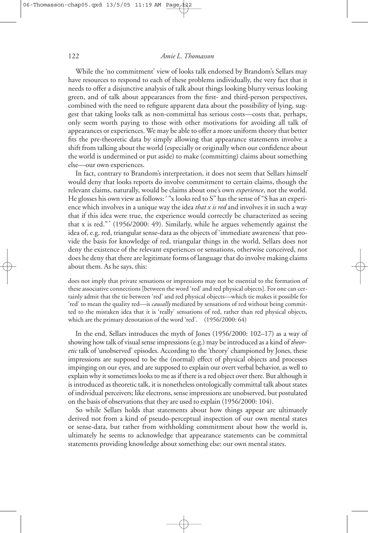While the 'no commitment' view of looks talk endorsed by Brandom's Sellars may have resources to respond to each of these problems individually, the very fact that it needs to offer a disjunctive analysis of talk about things looking blurry versus looking green, and of talk about appearances from the first- and third-person perspectives, combined with the need to refigure apparent data about the possibility of lying, suggest that taking looks talk as non-committal has serious costs—costs that, perhaps, only seem worth paying to those with other motivations for avoiding all talk of appearances or experiences. We may be able to offer a more uniform theory that better fits the pre-theoretic data by simply allowing that appearance statements involve a shift from talking about the world (especially or originally when our confidence about the world is undermined or put aside) to make (committing) claims about something else—our own experiences.

In fact, contrary to Brandom's interpretation, it does not seem that Sellars himself would deny that looks reports do involve commitment to certain claims, though the relevant claims, naturally, would be claims about one's own *experience*, not the world. He glosses his own view as follows: ' "x looks red to S" has the sense of "S has an experience which involves in a unique way the idea *that x is red* and involves it in such a way that if this idea were true, the experience would correctly be characterized as seeing that x is red." ' (1956/2000: 49). Similarly, while he argues vehemently against the idea of, e.g. red, triangular sense-data as the objects of 'immediate awareness' that provide the basis for knowledge of red, triangular things in the world, Sellars does not deny the existence of the relevant experiences or sensations, otherwise conceived, nor does he deny that there are legitimate forms of language that do involve making claims about them. As he says, this:

does not imply that private sensations or impressions may not be essential to the formation of these associative connections [between the word 'red' and red physical objects]. For one can certainly admit that the tie between 'red' and red physical objects—which tie makes it possible for 'red' to mean the quality red—is *causally* mediated by sensations of red without being committed to the mistaken idea that it is 'really' sensations of red, rather than red physical objects, which are the primary denotation of the word 'red'. (1956/2000: 64)

In the end, Sellars introduces the myth of Jones (1956/2000: 102–17) as a way of showing how talk of visual sense impressions (e.g.) may be introduced as a kind of *theoretic* talk of 'unobserved' episodes. According to the 'theory' championed by Jones, these impressions are supposed to be the (normal) effect of physical objects and processes impinging on our eyes, and are supposed to explain our overt verbal behavior, as well to explain why it sometimes looks to me as if there is a red object over there. But although it is introduced as theoretic talk, it is nonetheless ontologically committal talk about states of individual perceivers; like electrons, sense impressions are unobserved, but postulated on the basis of observations that they are used to explain (1956/2000: 104).

So while Sellars holds that statements about how things appear are ultimately derived not from a kind of pseudo-perceptual inspection of our own mental states or sense-data, but rather from withholding commitment about how the world is, ultimately he seems to acknowledge that appearance statements can be committal statements providing knowledge about something else: our own mental states.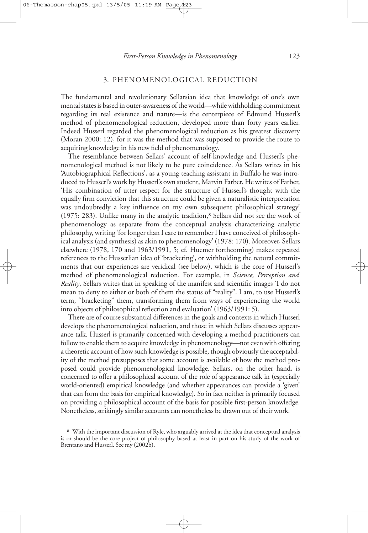# 3. PHENOMENOLOGICAL REDUCTION

The fundamental and revolutionary Sellarsian idea that knowledge of one's own mental states is based in outer-awareness of the world—while withholding commitment regarding its real existence and nature—is the centerpiece of Edmund Husserl's method of phenomenological reduction, developed more than forty years earlier. Indeed Husserl regarded the phenomenological reduction as his greatest discovery (Moran 2000: 12), for it was the method that was supposed to provide the route to acquiring knowledge in his new field of phenomenology.

The resemblance between Sellars' account of self-knowledge and Husserl's phenomenological method is not likely to be pure coincidence. As Sellars writes in his 'Autobiographical Reflections', as a young teaching assistant in Buffalo he was introduced to Husserl's work by Husserl's own student, Marvin Farber. He writes of Farber, 'His combination of utter respect for the structure of Husserl's thought with the equally firm conviction that this structure could be given a naturalistic interpretation was undoubtedly a key influence on my own subsequent philosophical strategy' (1975: 283). Unlike many in the analytic tradition,<sup>8</sup> Sellars did not see the work of phenomenology as separate from the conceptual analysis characterizing analytic philosophy, writing 'for longer than I care to remember I have conceived of philosophical analysis (and synthesis) as akin to phenomenology' (1978: 170). Moreover, Sellars elsewhere (1978, 170 and 1963/1991, 5; cf. Huemer forthcoming) makes repeated references to the Husserlian idea of 'bracketing', or withholding the natural commitments that our experiences are veridical (see below), which is the core of Husserl's method of phenomenological reduction. For example, in *Science, Perception and Reality*, Sellars writes that in speaking of the manifest and scientific images 'I do not mean to deny to either or both of them the status of "reality". I am, to use Husserl's term, "bracketing" them, transforming them from ways of experiencing the world into objects of philosophical reflection and evaluation' (1963/1991: 5).

There are of course substantial differences in the goals and contexts in which Husserl develops the phenomenological reduction, and those in which Sellars discusses appearance talk. Husserl is primarily concerned with developing a method practitioners can follow to enable them to acquire knowledge in phenomenology—not even with offering a theoretic account of how such knowledge is possible, though obviously the acceptability of the method presupposes that some account is available of how the method proposed could provide phenomenological knowledge. Sellars, on the other hand, is concerned to offer a philosophical account of the role of appearance talk in (especially world-oriented) empirical knowledge (and whether appearances can provide a 'given' that can form the basis for empirical knowledge). So in fact neither is primarily focused on providing a philosophical account of the basis for possible first-person knowledge. Nonetheless, strikingly similar accounts can nonetheless be drawn out of their work.

⁸ With the important discussion of Ryle, who arguably arrived at the idea that conceptual analysis is or should be the core project of philosophy based at least in part on his study of the work of Brentano and Husserl. See my (2002b).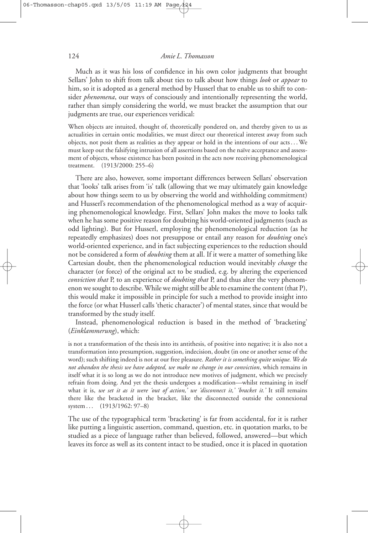Much as it was his loss of confidence in his own color judgments that brought Sellars' John to shift from talk about ties to talk about how things *look* or *appear* to him, so it is adopted as a general method by Husserl that to enable us to shift to consider *phenomena*, our ways of consciously and intentionally representing the world, rather than simply considering the world, we must bracket the assumption that our judgments are true, our experiences veridical:

When objects are intuited, thought of, theoretically pondered on, and thereby given to us as actualities in certain ontic modalities, we must direct our theoretical interest away from such objects, not posit them as realities as they appear or hold in the intentions of our acts . . . We must keep out the falsifying intrusion of all assertions based on the naïve acceptance and assessment of objects, whose existence has been posited in the acts now receiving phenomenological treatment. (1913/2000: 255–6)

There are also, however, some important differences between Sellars' observation that 'looks' talk arises from 'is' talk (allowing that we may ultimately gain knowledge about how things seem to us by observing the world and withholding commitment) and Husserl's recommendation of the phenomenological method as a way of acquiring phenomenological knowledge. First, Sellars' John makes the move to looks talk when he has some positive reason for doubting his world-oriented judgments (such as odd lighting). But for Husserl, employing the phenomenological reduction (as he repeatedly emphasizes) does not presuppose or entail any reason for *doubting* one's world-oriented experience, and in fact subjecting experiences to the reduction should not be considered a form of *doubting* them at all. If it were a matter of something like Cartesian doubt, then the phenomenological reduction would inevitably *change* the character (or force) of the original act to be studied, e.g. by altering the experienced *conviction that* P, to an experience of *doubting that* P, and thus alter the very phenomenon we sought to describe. While we might still be able to examine the content (that P), this would make it impossible in principle for such a method to provide insight into the force (or what Husserl calls 'thetic character') of mental states, since that would be transformed by the study itself.

Instead, phenomenological reduction is based in the method of 'bracketing' (*Einklammerung*), which:

is not a transformation of the thesis into its antithesis, of positive into negative; it is also not a transformation into presumption, suggestion, indecision, doubt (in one or another sense of the word); such shifting indeed is not at our free pleasure. *Rather it is something quite unique. We do not abandon the thesis we have adopted, we make no change in our conviction*, which remains in itself what it is so long as we do not introduce new motives of judgment, which we precisely refrain from doing. And yet the thesis undergoes a modification—whilst remaining in itself what it is, *we set it as it were 'out of action,' we 'disconnect it,' 'bracket it.'* It still remains there like the bracketed in the bracket, like the disconnected outside the connexional system ... (1913/1962: 97–8)

The use of the typographical term 'bracketing' is far from accidental, for it is rather like putting a linguistic assertion, command, question, etc. in quotation marks, to be studied as a piece of language rather than believed, followed, answered—but which leaves its force as well as its content intact to be studied, once it is placed in quotation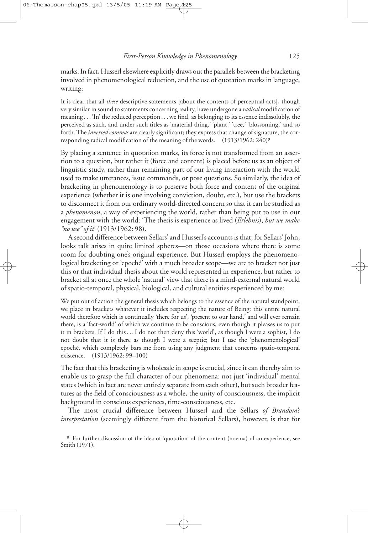marks. In fact, Husserl elsewhere explicitly draws out the parallels between the bracketing involved in phenomenological reduction, and the use of quotation marks in language, writing:

It is clear that all *these* descriptive statements [about the contents of perceptual acts], though very similar in sound to statements concerning reality, have undergone a *radical* modification of meaning . . . 'In' the reduced perception . . . we find, as belonging to its essence indissolubly, the perceived as such, and under such titles as 'material thing,' 'plant,' 'tree,' 'blossoming,' and so forth. The *inverted commas* are clearly significant; they express that change of signature, the corresponding radical modification of the meaning of the words. (1913/1962: 240)<sup>9</sup>

By placing a sentence in quotation marks, its force is not transformed from an assertion to a question, but rather it (force and content) is placed before us as an object of linguistic study, rather than remaining part of our living interaction with the world used to make utterances, issue commands, or pose questions. So similarly, the idea of bracketing in phenomenology is to preserve both force and content of the original experience (whether it is one involving conviction, doubt, etc.), but use the brackets to disconnect it from our ordinary world-directed concern so that it can be studied as a *phenomenon*, a way of experiencing the world, rather than being put to use in our engagement with the world: 'The thesis is experience as lived (*Erlebnis*), *but we make "no use" of it*' (1913/1962: 98).

A second difference between Sellars' and Husserl's accounts is that, for Sellars' John, looks talk arises in quite limited spheres—on those occasions where there is some room for doubting one's original experience. But Husserl employs the phenomenological bracketing or 'epoché' with a much broader scope—we are to bracket not just this or that individual thesis about the world represented in experience, but rather to bracket all at once the whole 'natural' view that there is a mind-external natural world of spatio-temporal, physical, biological, and cultural entities experienced by me:

We put out of action the general thesis which belongs to the essence of the natural standpoint, we place in brackets whatever it includes respecting the nature of Being: this entire natural world therefore which is continually 'there for us', 'present to our hand,' and will ever remain there, is a 'fact-world' of which we continue to be conscious, even though it pleases us to put it in brackets. If I do this . . . I do not then deny this 'world', as though I were a sophist, I do not doubt that it is there as though I were a sceptic; but I use the 'phenomenological' epoché, which completely bars me from using any judgment that concerns spatio-temporal existence. (1913/1962: 99–100)

The fact that this bracketing is wholesale in scope is crucial, since it can thereby aim to enable us to grasp the full character of our phenomena: not just 'individual' mental states (which in fact are never entirely separate from each other), but such broader features as the field of consciousness as a whole, the unity of consciousness, the implicit background in conscious experiences, time-consciousness, etc.

The most crucial difference between Husserl and the Sellars *of Brandom's interpretation* (seemingly different from the historical Sellars), however, is that for

⁹ For further discussion of the idea of 'quotation' of the content (noema) of an experience, see Smith (1971).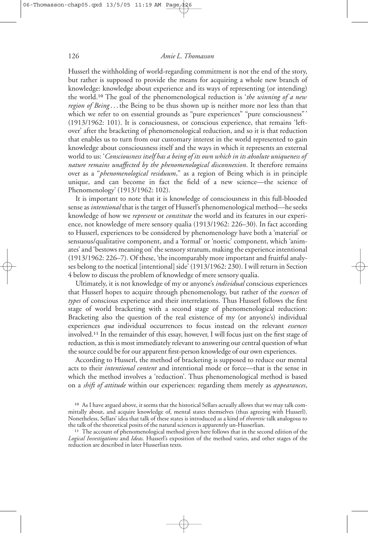Husserl the withholding of world-regarding commitment is not the end of the story, but rather is supposed to provide the means for acquiring a whole new branch of knowledge: knowledge about experience and its ways of representing (or intending) the world.<sup>10</sup> The goal of the phenomenological reduction is '*the winning of a new region of Being*. . . the Being to be thus shown up is neither more nor less than that which we refer to on essential grounds as "pure experiences" "pure consciousness"' (1913/1962: 101). It is consciousness, or conscious experience, that remains 'leftover' after the bracketing of phenomenological reduction, and so it is that reduction that enables us to turn from our customary interest in the world represented to gain knowledge about consciousness itself and the ways in which it represents an external world to us: '*Consciousness itself has a being of its own which in its absolute uniqueness of nature remains unaffected by the phenomenological disconnexion*. It therefore remains over as a "*phenomenological residuum*," as a region of Being which is in principle unique, and can become in fact the field of a new science—the science of Phenomenology' (1913/1962: 102).

It is important to note that it is knowledge of consciousness in this full-blooded sense as *intentional* that is the target of Husserl's phenomenological method—he seeks knowledge of how we *represent* or *constitute* the world and its features in our experience, not knowledge of mere sensory qualia (1913/1962: 226–30). In fact according to Husserl, experiences to be considered by phenomenology have both a 'material' or sensuous/qualitative component, and a 'formal' or 'noetic' component, which 'animates' and 'bestows meaning on' the sensory stratum, making the experience intentional (1913/1962: 226–7). Of these, 'the incomparably more important and fruitful analyses belong to the noetical [intentional] side' (1913/1962: 230). I will return in Section 4 below to discuss the problem of knowledge of mere sensory qualia.

Ultimately, it is not knowledge of my or anyone's *individual* conscious experiences that Husserl hopes to acquire through phenomenology, but rather of the *essences* of *types* of conscious experience and their interrelations. Thus Husserl follows the first stage of world bracketing with a second stage of phenomenological reduction: Bracketing also the question of the real existence of my (or anyone's) individual experiences *qua* individual occurrences to focus instead on the relevant *essences* involved.<sup>11</sup> In the remainder of this essay, however, I will focus just on the first stage of reduction, as this is most immediately relevant to answering our central question of what the source could be for our apparent first-person knowledge of our own experiences.

According to Husserl, the method of bracketing is supposed to reduce our mental acts to their *intentional content* and intentional mode or force—that is the sense in which the method involves a 'reduction'. Thus phenomenological method is based on a *shift of attitude* within our experiences: regarding them merely as *appearances*,

<sup>&</sup>lt;sup>10</sup> As I have argued above, it seems that the historical Sellars actually allows that we may talk committally about, and acquire knowledge of, mental states themselves (thus agreeing with Husserl). Nonetheless, Sellars' idea that talk of these states is introduced as a kind of *theoretic* talk analogous to the talk of the theoretical posits of the natural sciences is apparently un-Husserlian.

 $11$  The account of phenomenological method given here follows that in the second edition of the *Logical Investigations* and *Ideas*. Husserl's exposition of the method varies, and other stages of the reduction are described in later Husserlian texts.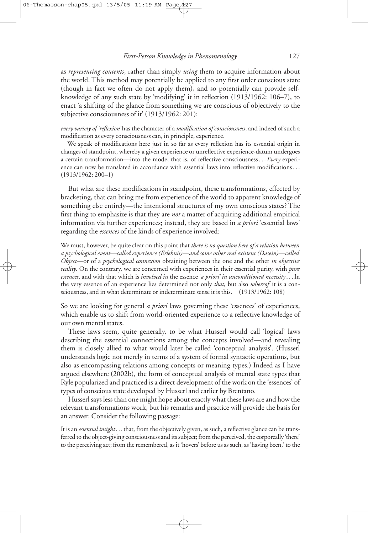06-Thomasson-chap05.qxd 13/5/05 11:19 AM

as *representing contents*, rather than simply *using* them to acquire information about the world. This method may potentially be applied to any first order conscious state (though in fact we often do not apply them), and so potentially can provide selfknowledge of any such state by 'modifying' it in reflection (1913/1962: 106–7), to enact 'a shifting of the glance from something we are conscious of objectively to the subjective consciousness of it' (1913/1962: 201):

*every variety of 'reflexion'* has the character of a *modification of consciousness*, and indeed of such a modification as every consciousness can, in principle, experience.

We speak of modifications here just in so far as every reflexion has its essential origin in changes of standpoint, whereby a given experience or unreflective experience-datum undergoes a certain transformation—into the mode, that is, of reflective consciousness... *Every* experience can now be translated in accordance with essential laws into reflective modifications... (1913/1962: 200–1)

But what are these modifications in standpoint, these transformations, effected by bracketing, that can bring me from experience of the world to apparent knowledge of something else entirely—the intentional structures of my own conscious states? The first thing to emphasize is that they are *not* a matter of acquiring additional empirical information via further experiences; instead, they are based in *a priori* 'essential laws' regarding the *essences* of the kinds of experience involved:

We must, however, be quite clear on this point that *there is no question here of a relation between a psychological event—called experience (Erlebnis)—and some other real existent (Dasein)—called Object—*or of a *psychological connexion* obtaining between the one and the other *in objective reality*. On the contrary, we are concerned with experiences in their essential purity, with *pure essences*, and with that which is *involved in* the essence *'a priori' in unconditioned necessity*. . . In the very essence of an experience lies determined not only *that*, but also *whereof* it is a consciousness, and in what determinate or indeterminate sense it is this. (1913/1962: 108)

So we are looking for general *a priori* laws governing these 'essences' of experiences, which enable us to shift from world-oriented experience to a reflective knowledge of our own mental states.

These laws seem, quite generally, to be what Husserl would call 'logical' laws describing the essential connections among the concepts involved—and revealing them is closely allied to what would later be called 'conceptual analysis'. (Husserl understands logic not merely in terms of a system of formal syntactic operations, but also as encompassing relations among concepts or meaning types.) Indeed as I have argued elsewhere (2002b), the form of conceptual analysis of mental state types that Ryle popularized and practiced is a direct development of the work on the 'essences' of types of conscious state developed by Husserl and earlier by Brentano.

Husserl says less than one might hope about exactly what these laws are and how the relevant transformations work, but his remarks and practice will provide the basis for an answer. Consider the following passage:

It is an *essential insight*. . . that, from the objectively given, as such, a reflective glance can be transferred to the object-giving consciousness and its subject; from the perceived, the corporeally 'there' to the perceiving act; from the remembered, as it 'hovers' before us as such, as 'having been,' to the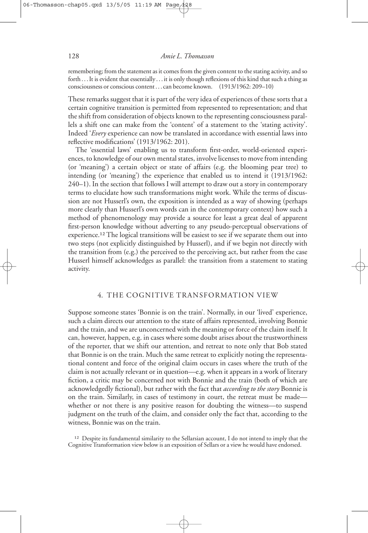remembering; from the statement as it comes from the given content to the stating activity, and so forth . . . It is evident that essentially . . . it is only though reflexions of this kind that such a thing as consciousness or conscious content. . . can become known. (1913/1962: 209–10)

These remarks suggest that it is part of the very idea of experiences of these sorts that a certain cognitive transition is permitted from represented to representation; and that the shift from consideration of objects known to the representing consciousness parallels a shift one can make from the 'content' of a statement to the 'stating activity'. Indeed '*Every* experience can now be translated in accordance with essential laws into reflective modifications' (1913/1962: 201).

The 'essential laws' enabling us to transform first-order, world-oriented experiences, to knowledge of our own mental states, involve licenses to move from intending (or 'meaning') a certain object or state of affairs (e.g. the blooming pear tree) to intending (or 'meaning') the experience that enabled us to intend it (1913/1962:  $240-1$ ). In the section that follows I will attempt to draw out a story in contemporary terms to elucidate how such transformations might work. While the terms of discussion are not Husserl's own, the exposition is intended as a way of showing (perhaps more clearly than Husserl's own words can in the contemporary context) how such a method of phenomenology may provide a source for least a great deal of apparent first-person knowledge without adverting to any pseudo-perceptual observations of experience.<sup>12</sup> The logical transitions will be easiest to see if we separate them out into two steps (not explicitly distinguished by Husserl), and if we begin not directly with the transition from (e.g.) the perceived to the perceiving act, but rather from the case Husserl himself acknowledges as parallel: the transition from a statement to stating activity.

## 4. THE COGNITIVE TRANSFORMATION VIEW

Suppose someone states 'Bonnie is on the train'. Normally, in our 'lived' experience, such a claim directs our attention to the state of affairs represented, involving Bonnie and the train, and we are unconcerned with the meaning or force of the claim itself. It can, however, happen, e.g. in cases where some doubt arises about the trustworthiness of the reporter, that we shift our attention, and retreat to note only that Bob stated that Bonnie is on the train. Much the same retreat to explicitly noting the representational content and force of the original claim occurs in cases where the truth of the claim is not actually relevant or in question—e.g. when it appears in a work of literary fiction, a critic may be concerned not with Bonnie and the train (both of which are acknowledgedly fictional), but rather with the fact that *according to the story* Bonnie is on the train. Similarly, in cases of testimony in court, the retreat must be made whether or not there is any positive reason for doubting the witness—to suspend judgment on the truth of the claim, and consider only the fact that, according to the witness, Bonnie was on the train.

 $12$  Despite its fundamental similarity to the Sellarsian account, I do not intend to imply that the Cognitive Transformation view below is an exposition of Sellars or a view he would have endorsed.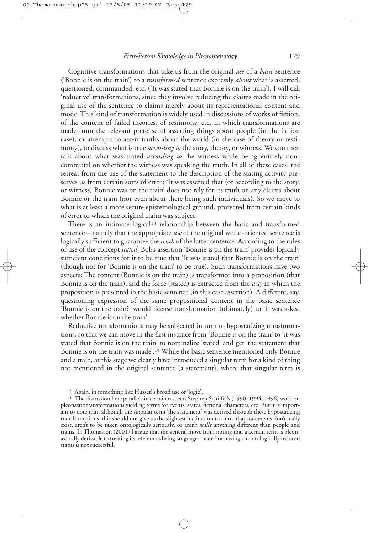Cognitive transformations that take us from the original *use* of a *basic* sentence ('Bonnie is on the train') to a *transformed* sentence expressly *about* what is asserted, questioned, commanded, etc. ('It was stated that Bonnie is on the train'), I will call 'reductive' transformations, since they involve reducing the claims made in the original use of the sentence to claims merely about its representational content and mode. This kind of transformation is widely used in discussions of works of fiction, of the content of failed theories, of testimony, etc. in which transformations are made from the relevant pretense of asserting things about people (in the fiction case), or attempts to assert truths about the world (in the case of theory or testimony), to discuss what is true *according to* the story, theory, or witness. We can then talk about what was stated *according to* the witness while being entirely noncommittal on whether the witness was speaking the truth. In all of these cases, the retreat from the use of the statement to the description of the stating activity preserves us from certain sorts of error: 'It was asserted that (or according to the story, or witness) Bonnie was on the train' does not rely for its truth on any claims about Bonnie or the train (nor even about there being such individuals). So we move to what is at least a more secure epistemological ground, protected from certain kinds of error to which the original claim was subject.

There is an intimate logical<sup>13</sup> relationship between the basic and transformed sentence—namely that the appropriate *use* of the original world-oriented sentence is logically sufficient to guarantee the *truth* of the latter sentence. According to the rules of use of the concept *stated*, Bob's assertion 'Bonnie is on the train' provides logically sufficient conditions for it to be true that 'It was stated that Bonnie is on the train' (though not for 'Bonnie is on the train' to be true). Such transformations have two aspects: The content (Bonnie is on the train) is transformed into a proposition (that Bonnie is on the train), and the force (stated) is extracted from the *way* in which the proposition is presented in the basic sentence (in this case assertion). A different, say, questioning expression of the same propositional content in the basic sentence 'Bonnie is on the train?' would license transformation (ultimately) to 'it was asked whether Bonnie is on the train'.

Reductive transformations may be subjected in turn to hypostatizing transformations, so that we can move in the first instance from 'Bonnie is on the train' to 'it was stated that Bonnie is on the train' to nominalize 'stated' and get 'the statement that Bonnie is on the train was made'.<sup>14</sup> While the basic sentence mentioned only Bonnie and a train, at this stage we clearly have introduced a singular term for a kind of thing not mentioned in the original sentence (a statement), where that singular term is

<sup>&</sup>lt;sup>13</sup> Again, in something like Husserl's broad use of 'logic'.

<sup>&</sup>lt;sup>14</sup> The discussion here parallels in certain respects Stephen Schiffer's (1990, 1994, 1996) work on pleonastic transformations yielding terms for events, states, fictional characters, etc. But it is important to note that, although the singular term 'the statement' was derived through these hypostatizing transformations, this should not give us the slightest inclination to think that statements don't really exist, aren't to be taken ontologically seriously, or aren't *really* anything different than people and trains. In Thomasson (2001) I argue that the general move from noting that a certain term is pleonastically derivable to treating its referent as being language-created or having an ontologically reduced status is not successful.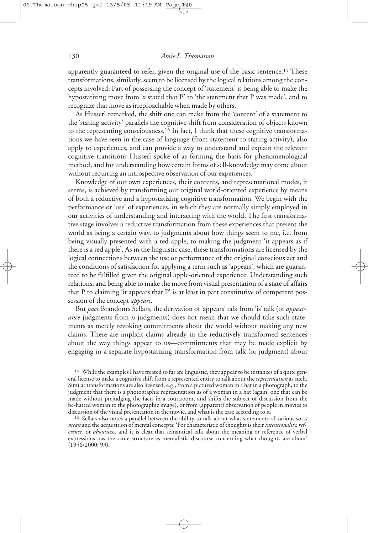apparently guaranteed to refer, given the original use of the basic sentence.<sup>15</sup> These transformations, similarly, seem to be licensed by the logical relations among the concepts involved: Part of possessing the concept of 'statement' is being able to make the hypostatizing move from 'x stated that P' to 'the statement that P was made', and to recognize that move as irreproachable when made by others.

As Husserl remarked, the shift one can make from the 'content' of a statement to the 'stating activity' parallels the cognitive shift from consideration of objects known to the representing consciousness.<sup>16</sup> In fact, I think that these cognitive transformations we have seen in the case of language (from statement to stating activity), also apply to experiences, and can provide a way to understand and explain the relevant cognitive transitions Husserl spoke of as forming the basis for phenomenological method, and for understanding how certain forms of self-knowledge may come about without requiring an introspective observation of our experiences.

Knowledge of our own experiences, their contents, and representational modes, it seems, is achieved by transforming our original world-oriented experience by means of both a reductive and a hypostatizing cognitive transformation. We begin with the performance or 'use' of experiences, in which they are normally simply employed in our activities of understanding and interacting with the world. The first transformative stage involves a reductive transformation from these experiences that present the world as being a certain way, to judgments about how things seem to me, i.e. from being visually presented with a red apple, to making the judgment 'it appears as if there is a red apple'. As in the linguistic case, these transformations are licensed by the logical connections between the use or performance of the original conscious act and the conditions of satisfaction for applying a term such as 'appears', which are guaranteed to be fulfilled given the original apple-oriented experience. Understanding such relations, and being able to make the move from visual presentation of a state of affairs that P to claiming 'it appears that P' is at least in part constitutive of competent possession of the concept *appears*.

But *pace* Brandom's Sellars, the derivation of 'appears' talk from 'is' talk (or *appearance* judgments from *is* judgments) does not mean that we should take such statements as merely revoking commitments about the world without making any new claims. There are implicit claims already in the reductively transformed sentences about the way things appear to us—commitments that may be made explicit by engaging in a separate hypostatizing transformation from talk (or judgment) about

<sup>16</sup> Sellars also notes a parallel between the ability to talk about what statements of various sorts *mean* and the acquisition of mental concepts: 'For characteristic of thoughts is their *intentionality, reference*, or *aboutness*, and it is clear that semantical talk about the meaning or reference of verbal expressions has the same structure as mentalistic discourse concerning what thoughts are about' (1956/2000: 93).

<sup>&</sup>lt;sup>15</sup> While the examples I have treated so far are linguistic, they appear to be instances of a quite general license to make a cognitive shift from a represented entity to talk about the *representation* as such. Similar transformations are also licensed, e.g., from a pictured woman in a hat in a photograph, to the judgment that there is a photographic representation as of a woman in a hat (again, one that can be made without prejudging the facts in a courtroom, and shifts the subject of discussion from the be-hatted woman to the photographic image), or from (apparent) observation of people in movies to discussion of the visual presentation in the movie, and what is the case according to it.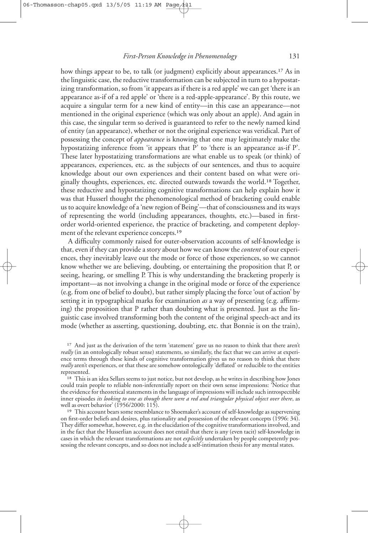06-Thomasson-chap05.qxd 13/5/05 11:19 AM

how things appear to be, to talk (or judgment) explicitly about appearances.<sup>17</sup> As in the linguistic case, the reductive transformation can be subjected in turn to a hypostatizing transformation, so from 'it appears as if there is a red apple' we can get 'there is an appearance as-if of a red apple' or 'there is a red-apple-appearance'. By this route, we acquire a singular term for a new kind of entity—in this case an appearance—not mentioned in the original experience (which was only about an apple). And again in this case, the singular term so derived is guaranteed to refer to the newly named kind of entity (an appearance), whether or not the original experience was veridical. Part of possessing the concept of *appearance* is knowing that one may legitimately make the hypostatizing inference from 'it appears that P' to 'there is an appearance as-if P'. These later hypostatizing transformations are what enable us to speak (or think) of appearances, experiences, etc. as the subjects of our sentences, and thus to acquire knowledge about our own experiences and their content based on what were originally thoughts, experiences, etc. directed outwards towards the world.<sup>18</sup> Together, these reductive and hypostatizing cognitive transformations can help explain how it was that Husserl thought the phenomenological method of bracketing could enable us to acquire knowledge of a 'new region of Being'—that of consciousness and its ways of representing the world (including appearances, thoughts, etc.)—based in firstorder world-oriented experience, the practice of bracketing, and competent deployment of the relevant experience concepts.<sup>19</sup>

A difficulty commonly raised for outer-observation accounts of self-knowledge is that, even if they can provide a story about how we can know the *content* of our experiences, they inevitably leave out the mode or force of those experiences, so we cannot know whether we are believing, doubting, or entertaining the proposition that P, or seeing, hearing, or smelling P. This is why understanding the bracketing properly is important—as not involving a change in the original mode or force of the experience (e.g. from one of belief to doubt), but rather simply placing the force 'out of action' by setting it in typographical marks for examination *as* a way of presenting (e.g. affirming) the proposition that P rather than doubting what is presented. Just as the linguistic case involved transforming both the content of the original speech-act and its mode (whether as asserting, questioning, doubting, etc. that Bonnie is on the train),

<sup>17</sup> And just as the derivation of the term 'statement' gave us no reason to think that there aren't *really* (in an ontologically robust sense) statements, so similarly, the fact that we can arrive at experience terms through these kinds of cognitive transformation gives us no reason to think that there *really* aren't experiences, or that these are somehow ontologically 'deflated' or reducible to the entities represented.

<sup>18</sup> This is an idea Sellars seems to just notice, but not develop, as he writes in describing how Jones could train people to reliable non-inferentially report on their own sense impressions: 'Notice that the evidence for theoretical statements in the language of impressions will include such introspectible inner episodes *its looking to one as though there were a red and triangular physical object over there*, as well as overt behavior' (1956/2000: 115).

<sup>19</sup> This account bears some resemblance to Shoemaker's account of self-knowledge as supervening on first-order beliefs and desires, plus rationality and possession of the relevant concepts (1996: 34). They differ somewhat, however, e.g. in the elucidation of the cognitive transformations involved, and in the fact that the Husserlian account does not entail that there is any (even tacit) self-knowledge in cases in which the relevant transformations are not *explicitly* undertaken by people competently possessing the relevant concepts, and so does not include a self-intimation thesis for any mental states.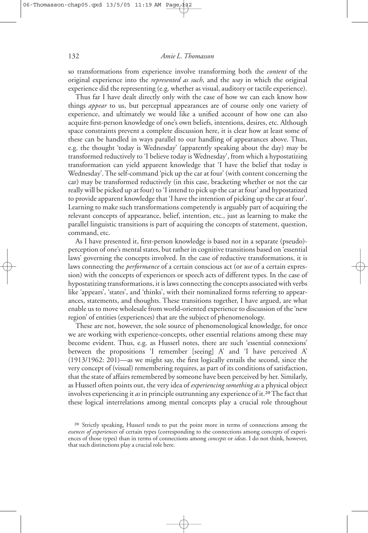so transformations from experience involve transforming both the *content* of the original experience into the *represented as such*, and the *way* in which the original experience did the representing (e.g. whether as visual, auditory or tactile experience).

Thus far I have dealt directly only with the case of how we can each know how things *appear* to us, but perceptual appearances are of course only one variety of experience, and ultimately we would like a unified account of how one can also acquire first-person knowledge of one's own beliefs, intentions, desires, etc. Although space constraints prevent a complete discussion here, it is clear how at least some of these can be handled in ways parallel to our handling of appearances above. Thus, e.g. the thought 'today is Wednesday' (apparently speaking about the day) may be transformed reductively to 'I believe today is Wednesday', from which a hypostatizing transformation can yield apparent knowledge that 'I have the belief that today is Wednesday'. The self-command 'pick up the car at four' (with content concerning the car) may be transformed reductively (in this case, bracketing whether or not the car really will be picked up at four) to 'I intend to pick up the car at four' and hypostatized to provide apparent knowledge that 'I have the intention of picking up the car at four'. Learning to make such transformations competently is arguably part of acquiring the relevant concepts of appearance, belief, intention, etc., just as learning to make the parallel linguistic transitions is part of acquiring the concepts of statement, question, command, etc.

As I have presented it, first-person knowledge is based not in a separate (pseudo) perception of one's mental states, but rather in cognitive transitions based on 'essential laws' governing the concepts involved. In the case of reductive transformations, it is laws connecting the *performance* of a certain conscious act (or *use* of a certain expression) with the concepts of experiences or speech acts of different types. In the case of hypostatizing transformations, it is laws connecting the concepts associated with verbs like 'appears', 'states', and 'thinks', with their nominalized forms referring to appearances, statements, and thoughts. These transitions together, I have argued, are what enable us to move wholesale from world-oriented experience to discussion of the 'new region' of entities (experiences) that are the subject of phenomenology.

These are not, however, the sole source of phenomenological knowledge, for once we are working with experience-concepts, other essential relations among these may become evident. Thus, e.g. as Husserl notes, there are such 'essential connexions' between the propositions 'I remember [seeing] A' and 'I have perceived A' (1913/1962: 201)—as we might say, the first logically entails the second, since the very concept of (visual) remembering requires, as part of its conditions of satisfaction, that the state of affairs remembered by someone have been perceived by her. Similarly, as Husserl often points out, the very idea of *experiencing something as* a physical object involves experiencing it *as* in principle outrunning any experience of it.<sup>20</sup> The fact that these logical interrelations among mental concepts play a crucial role throughout

<sup>&</sup>lt;sup>20</sup> Strictly speaking, Husserl tends to put the point more in terms of connections among the *essences of experiences* of certain types (corresponding to the connections among concepts of experiences of those types) than in terms of connections among *concepts* or *ideas*. I do not think, however, that such distinctions play a crucial role here.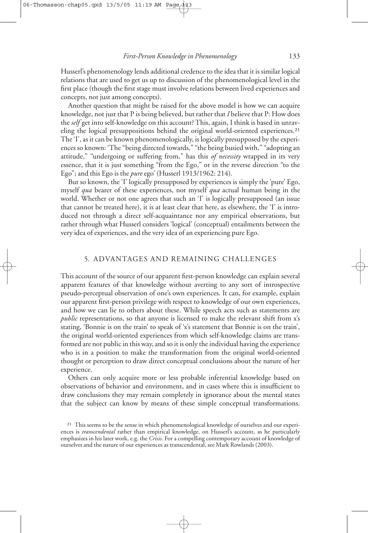Husserl's phenomenology lends additional credence to the idea that it is similar logical relations that are used to get us up to discussion of the phenomenological level in the first place (though the first stage must involve relations between lived experiences and concepts, not just among concepts).

Another question that might be raised for the above model is how we can acquire knowledge, not just that P is being believed, but rather that *I* believe that P: How does the *self* get into self-knowledge on this account? This, again, I think is based in unraveling the logical presuppositions behind the original world-oriented experiences.<sup>21</sup> The 'I', as it can be known phenomenologically, is logically presupposed by the experiences so known: 'The "being directed towards," "the being busied with," "adopting an attitude," "undergoing or suffering from," has this *of necessity* wrapped in its very essence, that it is just something "from the Ego," or in the reverse direction "to the Ego"; and this Ego is the *pure* ego' (Husserl 1913/1962: 214).

But so known, the 'I' logically presupposed by experiences is simply the 'pure' Ego, myself *qua* bearer of these experiences, not myself *qua* actual human being in the world. Whether or not one agrees that such an 'I' is logically presupposed (an issue that cannot be treated here), it is at least clear that here, as elsewhere, the 'I' is introduced not through a direct self-acquaintance nor any empirical observations, but rather through what Husserl considers 'logical' (conceptual) entailments between the very idea of experiences, and the very idea of an experiencing pure Ego.

# 5. ADVANTAGES AND REMAINING CHALLENGES

This account of the source of our apparent first-person knowledge can explain several apparent features of that knowledge without averting to any sort of introspective pseudo-perceptual observation of one's own experiences. It can, for example, explain our apparent first-person privilege with respect to knowledge of our own experiences, and how we can lie to others about these. While speech acts such as statements are *public* representations, so that anyone is licensed to make the relevant shift from x's stating, 'Bonnie is on the train' to speak of 'x's statement that Bonnie is on the train', the original world-oriented experiences from which self-knowledge claims are transformed are not public in this way, and so it is only the individual having the experience who is in a position to make the transformation from the original world-oriented thought or perception to draw direct conceptual conclusions about the nature of her experience.

Others can only acquire more or less probable inferential knowledge based on observations of behavior and environment, and in cases where this is insufficient to draw conclusions they may remain completely in ignorance about the mental states that the subject can know by means of these simple conceptual transformations.

<sup>&</sup>lt;sup>21</sup> This seems to be the sense in which phenomenological knowledge of ourselves and our experiences is *transcendental* rather than empirical knowledge, on Husserl's account, as he particularly emphasizes in his later work, e.g. the *Crisis*. For a compelling contemporary account of knowledge of ourselves and the nature of our experiences as transcendental, see Mark Rowlands (2003).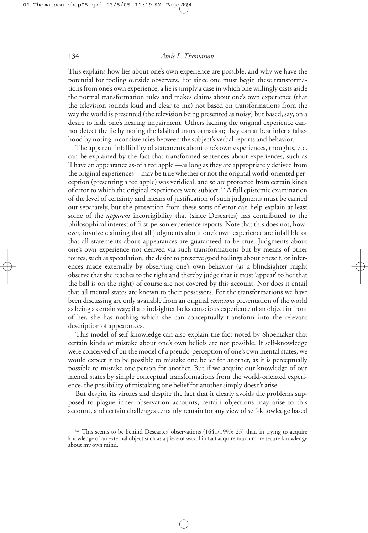This explains how lies about one's own experience are possible, and why we have the potential for fooling outside observers. For since one must begin these transformations from one's own experience, a lie is simply a case in which one willingly casts aside the normal transformation rules and makes claims about one's own experience (that the television sounds loud and clear to me) not based on transformations from the way the world is presented (the television being presented as noisy) but based, say, on a desire to hide one's hearing impairment. Others lacking the original experience cannot detect the lie by noting the falsified transformation; they can at best infer a falsehood by noting inconsistencies between the subject's verbal reports and behavior.

The apparent infallibility of statements about one's own experiences, thoughts, etc. can be explained by the fact that transformed sentences about experiences, such as 'I have an appearance as-of a red apple'—as long as they are appropriately derived from the original experiences—may be true whether or not the original world-oriented perception (presenting a red apple) was veridical, and so are protected from certain kinds of error to which the original experiences were subject.<sup>22</sup> A full epistemic examination of the level of certainty and means of justification of such judgments must be carried out separately, but the protection from these sorts of error can help explain at least some of the *apparent* incorrigibility that (since Descartes) has contributed to the philosophical interest of first-person experience reports. Note that this does not, however, involve claiming that all judgments about one's own experience are infallible or that all statements about appearances are guaranteed to be true. Judgments about one's own experience not derived via such transformations but by means of other routes, such as speculation, the desire to preserve good feelings about oneself, or inferences made externally by observing one's own behavior (as a blindsighter might observe that she reaches to the right and thereby judge that it must 'appear' to her that the ball is on the right) of course are not covered by this account. Nor does it entail that all mental states are known to their possessors. For the transformations we have been discussing are only available from an original *conscious* presentation of the world as being a certain way; if a blindsighter lacks conscious experience of an object in front of her, she has nothing which she can conceptually transform into the relevant description of appearances.

This model of self-knowledge can also explain the fact noted by Shoemaker that certain kinds of mistake about one's own beliefs are not possible. If self-knowledge were conceived of on the model of a pseudo-perception of one's own mental states, we would expect it to be possible to mistake one belief for another, as it is perceptually possible to mistake one person for another. But if we acquire our knowledge of our mental states by simple conceptual transformations from the world-oriented experience, the possibility of mistaking one belief for another simply doesn't arise.

But despite its virtues and despite the fact that it clearly avoids the problems supposed to plague inner observation accounts, certain objections may arise to this account, and certain challenges certainly remain for any view of self-knowledge based

 $22$  This seems to be behind Descartes' observations (1641/1993: 23) that, in trying to acquire knowledge of an external object such as a piece of wax, I in fact acquire much more secure knowledge about my own mind.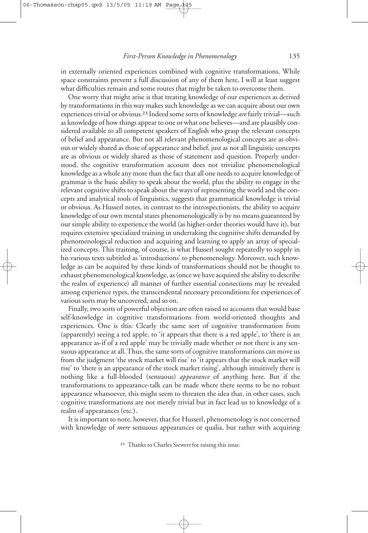in externally oriented experiences combined with cognitive transformations. While space constraints prevent a full discussion of any of them here, I will at least suggest what difficulties remain and some routes that might be taken to overcome them.

One worry that might arise is that treating knowledge of our experiences as derived by transformations in this way makes such knowledge as we can acquire about our own experiences trivial or obvious.²³Indeed some sorts of knowledge *are* fairly trivial—such as knowledge of how things appear to one or what one believes—and are plausibly considered available to all competent speakers of English who grasp the relevant concepts of belief and appearance. But not all relevant phenomenological concepts are as obvious or widely shared as those of appearance and belief, just as not all linguistic concepts are as obvious or widely shared as those of statement and question. Properly understood, the cognitive transformation account does not trivialize phenomenological knowledge as a whole any more than the fact that all one needs to acquire knowledge of grammar is the basic ability to speak about the world, plus the ability to engage in the relevant cognitive shifts to speak about the ways of representing the world and the concepts and analytical tools of linguistics, suggests that grammatical knowledge is trivial or obvious. As Husserl notes, in contrast to the introspectionists, the ability to acquire knowledge of our own mental states phenomenologically is by no means guaranteed by our simple ability to experience the world (as higher-order theories would have it), but requires extensive specialized training in undertaking the cognitive shifts demanded by phenomenological reduction and acquiring and learning to apply an array of specialized concepts. This training, of course, is what Husserl sought repeatedly to supply in his various texts subtitled as 'introductions' to phenomenology. Moreover, such knowledge as can be acquired by these kinds of transformations should not be thought to exhaust phenomenological knowledge, as (once we have acquired the ability to describe the realm of experience) all manner of further essential connections may be revealed among experience types, the transcendental necessary preconditions for experiences of various sorts may be uncovered, and so on.

Finally, two sorts of powerful objection are often raised to accounts that would base self-knowledge in cognitive transformations from world-oriented thoughts and experiences. One is this: Clearly the same sort of cognitive transformation from (apparently) seeing a red apple, to 'it appears that there is a red apple', to 'there is an appearance as-if of a red apple' may be trivially made whether or not there is any sensuous appearance at all. Thus, the same sorts of cognitive transformations can move us from the judgment 'the stock market will rise' to 'it appears that the stock market will rise' to 'there is an appearance of the stock market rising', although intuitively there is nothing like a full-blooded (sensuous) *appearance* of anything here. But if the transformations to appearance-talk can be made where there seems to be no robust appearance whatsoever, this might seem to threaten the idea that, in other cases, such cognitive transformations are not merely trivial but in fact lead us to knowledge of a realm of appearances (etc.).

It is important to note, however, that for Husserl, phenomenology is not concerned with knowledge of *mere* sensuous appearances or qualia, but rather with acquiring

<sup>23</sup> Thanks to Charles Siewert for raising this issue.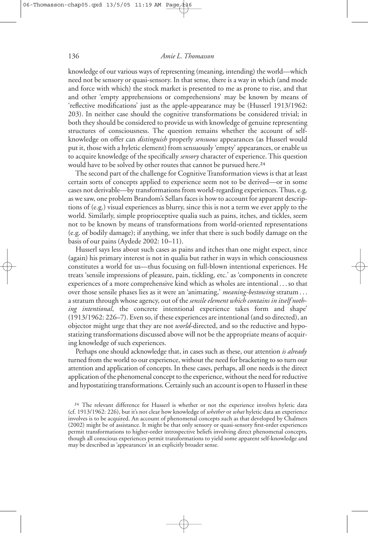knowledge of our various ways of representing (meaning, intending) the world—which need not be sensory or quasi-sensory. In that sense, there is a way in which (and mode and force with which) the stock market is presented to me as prone to rise, and that and other 'empty apprehensions or comprehensions' may be known by means of 'reflective modifications' just as the apple-appearance may be (Husserl 1913/1962: 203). In neither case should the cognitive transformations be considered trivial; in both they should be considered to provide us with knowledge of genuine representing structures of consciousness. The question remains whether the account of selfknowledge on offer can *distinguish* properly *sensuous* appearances (as Husserl would put it, those with a hyletic element) from sensuously 'empty' appearances, or enable us to acquire knowledge of the specifically *sensory* character of experience. This question would have to be solved by other routes that cannot be pursued here.<sup>24</sup>

The second part of the challenge for Cognitive Transformation views is that at least certain sorts of concepts applied to experience seem not to be derived—or in some cases not derivable—by transformations from world-regarding experiences. Thus, e.g. as we saw, one problem Brandom's Sellars faces is how to account for apparent descriptions of (e.g.) visual experiences as blurry, since this is not a term we ever apply to the world. Similarly, simple proprioceptive qualia such as pains, itches, and tickles, seem not to be known by means of transformations from world-oriented representations (e.g. of bodily damage); if anything, we infer that there is such bodily damage on the basis of our pains (Aydede 2002: 10–11).

Husserl says less about such cases as pains and itches than one might expect, since (again) his primary interest is not in qualia but rather in ways in which consciousness constitutes a world for us—thus focusing on full-blown intentional experiences. He treats 'sensile impressions of pleasure, pain, tickling, etc.' as 'components in concrete experiences of a more comprehensive kind which as wholes are intentional . . . so that over those sensile phases lies as it were an 'animating,' *meaning-bestowing* stratum... a stratum through whose agency, out of the *sensile element which contains in itself nothing intentional*, the concrete intentional experience takes form and shape' (1913/1962: 226–7). Even so, if these experiences are intentional (and so directed), an objector might urge that they are not *world*-directed, and so the reductive and hypostatizing transformations discussed above will not be the appropriate means of acquiring knowledge of such experiences.

Perhaps one should acknowledge that, in cases such as these, our attention *is already* turned from the world to our experience, without the need for bracketing to so turn our attention and application of concepts. In these cases, perhaps, all one needs is the direct application of the phenomenal concept to the experience, without the need for reductive and hypostatizing transformations. Certainly such an account is open to Husserl in these

<sup>24</sup> The relevant difference for Husserl is whether or not the experience involves hyletic data (cf. 1913/1962: 226), but it's not clear how knowledge of *whether* or *what* hyletic data an experience involves is to be acquired. An account of phenomenal concepts such as that developed by Chalmers (2002) might be of assistance. It might be that only sensory or quasi-sensory first-order experiences permit transformations to higher-order introspective beliefs involving direct phenomenal concepts, though all conscious experiences permit transformations to yield some apparent self-knowledge and may be described as 'appearances' in an explicitly broader sense.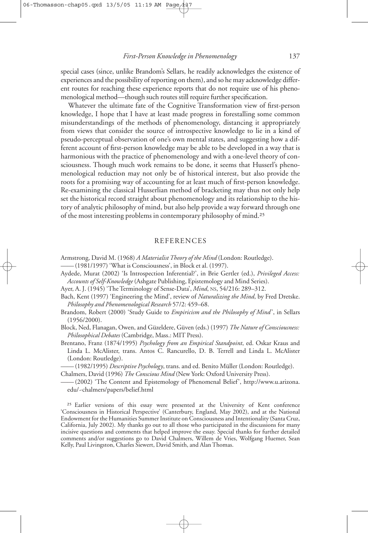$06$ -Thomasson-chap $05.$ qxd  $13/5/05$  11:19 AM

Whatever the ultimate fate of the Cognitive Transformation view of first-person knowledge, I hope that I have at least made progress in forestalling some common misunderstandings of the methods of phenomenology, distancing it appropriately from views that consider the source of introspective knowledge to lie in a kind of pseudo-perceptual observation of one's own mental states, and suggesting how a different account of first-person knowledge may be able to be developed in a way that is harmonious with the practice of phenomenology and with a one-level theory of consciousness. Though much work remains to be done, it seems that Husserl's phenomenological reduction may not only be of historical interest, but also provide the roots for a promising way of accounting for at least much of first-person knowledge. Re-examining the classical Husserlian method of bracketing may thus not only help set the historical record straight about phenomenology and its relationship to the history of analytic philosophy of mind, but also help provide a way forward through one of the most interesting problems in contemporary philosophy of mind.<sup>25</sup>

# REFERENCES

Armstrong, David M. (1968) *A Materialist Theory of the Mind* (London: Routledge).

—— (1981/1997) 'What is Consciousness', in Block et al. (1997).

- Aydede, Murat (2002) 'Is Introspection Inferential?', in Brie Gertler (ed.), *Privileged Access: Accounts of Self-Knowledge* (Ashgate Publishing, Epistemology and Mind Series).
- Ayer, A. J. (1945) 'The Terminology of Sense-Data', *Mind*, NS, 54/216: 289–312.
- Bach, Kent (1997) 'Engineering the Mind', review of *Naturalizing the Mind*, by Fred Dretske. *Philosophy and Phenomenological Research* 57/2: 459–68.
- Brandom, Robert (2000) 'Study Guide to *Empiricism and the Philosophy of Mind* ', in Sellars (1956/2000).
- Block, Ned, Flanagan, Owen, and Güzeldere, Güven (eds.) (1997) *The Nature of Consciousness: Philosophical Debates* (Cambridge, Mass.: MIT Press).
- Brentano, Franz (1874/1995) *Psychology from an Empirical Standpoint*, ed. Oskar Kraus and Linda L. McAlister, trans. Antos C. Rancurello, D. B. Terrell and Linda L. McAlister (London: Routledge).

—— (1982/1995) *Descriptive Psychology*, trans. and ed. Benito Müller (London: Routledge). Chalmers, David (1996) *The Conscious Mind* (New York: Oxford University Press).

—— (2002) 'The Content and Epistemology of Phenomenal Belief', http://www.u.arizona. edu/~chalmers/papers/belief.html

<sup>25</sup> Earlier versions of this essay were presented at the University of Kent conference 'Consciousness in Historical Perspective' (Canterbury, England, May 2002), and at the National Endowment for the Humanities Summer Institute on Consciousness and Intentionality (Santa Cruz, California, July 2002). My thanks go out to all those who participated in the discussions for many incisive questions and comments that helped improve the essay. Special thanks for further detailed comments and/or suggestions go to David Chalmers, Willem de Vries, Wolfgang Huemer, Sean Kelly, Paul Livingston, Charles Siewert, David Smith, and Alan Thomas.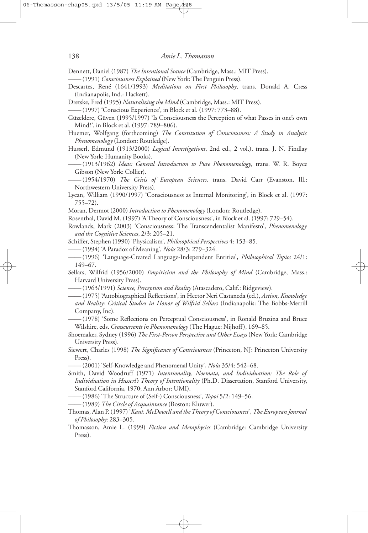Dennett, Daniel (1987) *The Intentional Stance* (Cambridge, Mass.: MIT Press).

—— (1991) *Consciousness Explained* (New York: The Penguin Press).

Descartes, René (1641/1993) *Meditations on First Philosophy*, trans. Donald A. Cress (Indianapolis, Ind.: Hackett).

Dretske, Fred (1995) *Naturalizing the Mind* (Cambridge, Mass.: MIT Press).

—— (1997) 'Conscious Experience', in Block et al. (1997: 773–88).

Güzeldere, Güven (1995/1997) 'Is Consciousness the Perception of what Passes in one's own Mind?', in Block et al. (1997: 789–806).

Huemer, Wolfgang (forthcoming) *The Constitution of Consciousness: A Study in Analytic Phenomenology* (London: Routledge).

Husserl, Edmund (1913/2000) *Logical Investigations*, 2nd ed., 2 vol.), trans. J. N. Findlay (New York: Humanity Books).

—— (1913/1962) *Ideas: General Introduction to Pure Phenomenology*, trans. W. R. Boyce Gibson (New York: Collier).

—— (1954/1970) *The Crisis of European Sciences,* trans. David Carr (Evanston, Ill.: Northwestern University Press).

Lycan, William (1990/1997) 'Consciousness as Internal Monitoring', in Block et al. (1997: 755–72).

Moran, Dermot (2000) *Introduction to Phenomenology* (London: Routledge).

Rosenthal, David M. (1997) 'A Theory of Consciousness', in Block et al. (1997: 729–54).

Rowlands, Mark (2003) 'Consciousness: The Transcendentalist Manifesto', *Phenomenology and the Cognitive Sciences*, 2/3: 205–21.

Schiffer, Stephen (1990) 'Physicalism', *Philosophical Perspectives* 4: 153–85.

—— (1994) 'A Paradox of Meaning', *Noûs* 28/3: 279–324.

—— (1996) 'Language-Created Language-Independent Entities', *Philosophical Topics* 24/1: 149–67.

Sellars, Wilfrid (1956/2000) *Empiricism and the Philosophy of Mind* (Cambridge, Mass.: Harvard University Press).

—— (1963/1991) *Science, Perception and Reality* (Atascadero, Calif.: Ridgeview).

—— (1975) 'Autobiographical Reflections', in Hector Neri Castaneda (ed.), *Action, Knowledge and Reality: Critical Studies in Honor of Wilfrid Sellars* (Indianapolis: The Bobbs-Merrill Company, Inc).

—— (1978) 'Some Reflections on Perceptual Consciousness', in Ronald Bruzina and Bruce Wilshire, eds. *Crosscurrents in Phenomenology* (The Hague: Nijhoff), 169–85.

Shoemaker, Sydney (1996) *The First-Person Perspective and Other Essays* (New York: Cambridge University Press).

Siewert, Charles (1998) *The Significance of Consciousness* (Princeton, NJ: Princeton University Press).

—— (2001) 'Self-Knowledge and Phenomenal Unity', *Noûs* 35/4: 542–68.

Smith, David Woodruff (1971) *Intentionality, Noemata, and Individuation: The Role of Individuation in Husserl's Theory of Intentionality* (Ph.D. Dissertation, Stanford University, Stanford California, 1970; Ann Arbor: UMI).

—— (1986) 'The Structure of (Self-) Consciousness', *Topoi* 5/2: 149–56.

—— (1989) *The Circle of Acquaintance* (Boston: Kluwer).

- Thomas, Alan P. (1997) '*Kant, McDowell and the Theory of Consciousness*', *The European Journal of Philosophy*: 283–305.
- Thomasson, Amie L. (1999) *Fiction and Metaphysics* (Cambridge: Cambridge University Press).